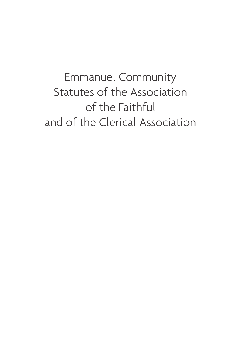Emmanuel Community Statutes of the Association of the Faithful and of the Clerical Association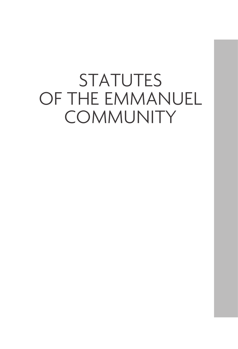# **STATUTES** OF THE EMMANUEL **COMMUNITY**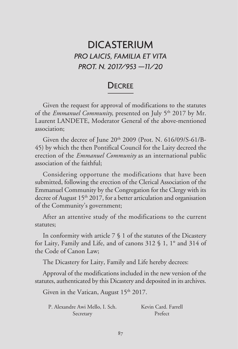## DICASTERIUM *PRO LAICIS, FAMILIA ET VITA PROT. N. 2017/953 —11/20*

## **DECREE**

Given the request for approval of modifications to the statutes of the *Emmanuel Community*, presented on July 5<sup>th</sup> 2017 by Mr. Laurent LANDETE, Moderator General of the above-mentioned association;

Given the decree of June  $20<sup>th</sup> 2009$  (Prot. N. 616/09/S-61/B-45) by which the then Pontifical Council for the Laity decreed the erection of the *Emmanuel Community* as an international public association of the faithful;

Considering opportune the modifications that have been submitted, following the erection of the Clerical Association of the Emmanuel Community by the Congregation for the Clergy with its decree of August  $15<sup>th</sup> 2017$ , for a better articulation and organisation of the Community's government;

After an attentive study of the modifications to the current statutes;

In conformity with article 7 § 1 of the statutes of the Dicastery for Laity, Family and Life, and of canons 312 § 1, 1° and 314 of the Code of Canon Law;

The Dicastery for Laity, Family and Life hereby decrees:

Approval of the modifications included in the new version of the statutes, authenticated by this Dicastery and deposited in its archives.

Given in the Vatican, August 15th 2017.

| P. Alexandre Awi Mello, I. Sch. | Kevin Card. Farrell |
|---------------------------------|---------------------|
| Secretary                       | Prefect             |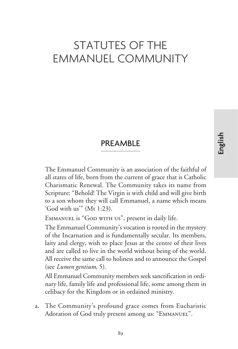## STATUTES OF THE EMMANUEL COMMUNITY

## PREAMBLE

The Emmanuel Community is an association of the faithful of all states of life, born from the current of grace that is Catholic Charismatic Renewal. The Community takes its name from Scripture: "Behold! The Virgin is with child and will give birth to a son whom they will call Emmanuel, a name which means 'God with us'" (Mt 1:23).

EMMANUEL is "GOD WITH US", present in daily life.

The Emmanuel Community's vocation is rooted in the mystery of the Incarnation and is fundamentally secular. Its members, laity and clergy, wish to place Jesus at the centre of their lives and are called to live in the world without being of the world. All receive the same call to holiness and to announce the Gospel (see *Lumen gentium*, 5).

All Emmanuel Community members seek sanctification in ordinary life, family life and professional life, some among them in celibacy for the Kingdom or in ordained ministry.

a. The Community's profound grace comes from Eucharistic Adoration of God truly present among us: "Emmanuel".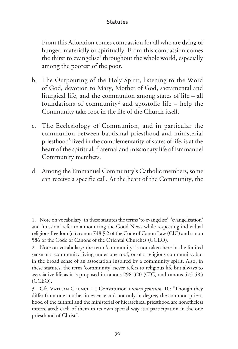From this Adoration comes compassion for all who are dying of hunger, materially or spiritually. From this compassion comes the thirst to evangelise<sup>1</sup> throughout the whole world, especially among the poorest of the poor.

- b. The Outpouring of the Holy Spirit, listening to the Word of God, devotion to Mary, Mother of God, sacramental and liturgical life, and the communion among states of life – all foundations of community<sup>2</sup> and apostolic life – help the Community take root in the life of the Church itself.
- c. The Ecclesiology of Communion, and in particular the communion between baptismal priesthood and ministerial priesthood<sup>3</sup> lived in the complementarity of states of life, is at the heart of the spiritual, fraternal and missionary life of Emmanuel Community members.
- d. Among the Emmanuel Community's Catholic members, some can receive a specific call. At the heart of the Community, the

<sup>1.</sup> Note on vocabulary: in these statutes the terms 'to evangelise', 'evangelisation' and 'mission' refer to announcing the Good News while respecting individual religious freedom (cfr. canon 748 § 2 of the Code of Canon Law (CIC) and canon 586 of the Code of Canons of the Oriental Churches (CCEO).

<sup>2.</sup> Note on vocabulary: the term 'community' is not taken here in the limited sense of a community living under one roof, or of a religious community, but in the broad sense of an association inspired by a community spirit. Also, in these statutes, the term 'community' never refers to religious life but always to associative life as it is proposed in canons 298-320 (CIC) and canons 573-583 (CCEO).

<sup>3.</sup> Cfr. Vatican Council II, Constitution *Lumen gentium*, 10: "Though they differ from one another in essence and not only in degree, the common priesthood of the faithful and the ministerial or hierarchical priesthood are nonetheless interrelated: each of them in its own special way is a participation in the one priesthood of Christ".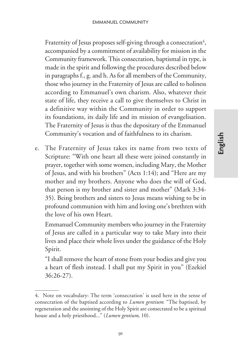Fraternity of Jesus proposes self-giving through a consecration<sup>4</sup>, accompanied by a commitment of availability for mission in the Community framework. This consecration, baptismal in type, is made in the spirit and following the procedures described below in paragraphs f., g. and h. As for all members of the Community, those who journey in the Fraternity of Jesus are called to holiness according to Emmanuel's own charism. Also, whatever their state of life, they receive a call to give themselves to Christ in a definitive way within the Community in order to support its foundations, its daily life and its mission of evangelisation. The Fraternity of Jesus is thus the depositary of the Emmanuel Community's vocation and of faithfulness to its charism.

e. The Fraternity of Jesus takes its name from two texts of Scripture: "With one heart all these were joined constantly in prayer, together with some women, including Mary, the Mother of Jesus, and with his brothers" (Acts 1:14); and "Here are my mother and my brothers. Anyone who does the will of God, that person is my brother and sister and mother" (Mark 3:34- 35). Being brothers and sisters to Jesus means wishing to be in profound communion with him and loving one's brethren with the love of his own Heart.

Emmanuel Community members who journey in the Fraternity of Jesus are called in a particular way to take Mary into their lives and place their whole lives under the guidance of the Holy Spirit.

"I shall remove the heart of stone from your bodies and give you a heart of flesh instead. I shall put my Spirit in you" (Ezekiel 36:26-27).

<sup>4.</sup> Note on vocabulary: The term 'consecration' is used here in the sense of consecration of the baptised according to *Lumen gentium*: "The baptised, by regeneration and the anointing of the Holy Spirit are consecrated to be a spiritual house and a holy priesthood..." (*Lumen gentium*, 10).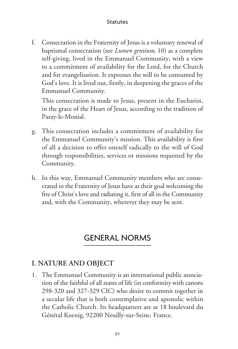f. Consecration in the Fraternity of Jesus is a voluntary renewal of baptismal consecration (see *Lumen gentium*, 10) as a complete self-giving, lived in the Emmanuel Community, with a view to a commitment of availability for the Lord, for the Church and for evangelisation. It expresses the will to be consumed by God's love. It is lived out, firstly, in deepening the graces of the Emmanuel Community.

This consecration is made to Jesus, present in the Eucharist, in the grace of the Heart of Jesus, according to the tradition of Paray-le-Monial.

- g. This consecration includes a commitment of availability for the Emmanuel Community's mission. This availability is first of all a decision to offer oneself radically to the will of God through responsibilities, services or missions requested by the Community.
- h. In this way, Emmanuel Community members who are consecrated in the Fraternity of Jesus have as their goal welcoming the fire of Christ's love and radiating it, first of all in the Community and, with the Community, wherever they may be sent.

## GENERAL NORMS

## **I. NATURE AND OBJECT**

1. The Emmanuel Community is an international public association of the faithful of all states of life (in conformity with canons 298-320 and 327-329 CIC) who desire to commit together in a secular life that is both contemplative and apostolic within the Catholic Church. Its headquarters are at 18 boulevard du Général Koenig, 92200 Neuilly-sur-Seine, France.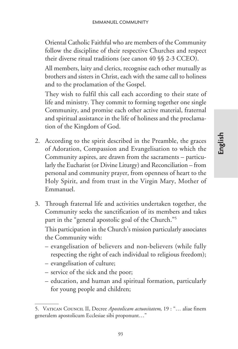Oriental Catholic Faithful who are members of the Community follow the discipline of their respective Churches and respect their diverse ritual traditions (see canon 40 §§ 2-3 CCEO).

All members, laity and clerics, recognise each other mutually as brothers and sisters in Christ, each with the same call to holiness and to the proclamation of the Gospel.

They wish to fulfil this call each according to their state of life and ministry. They commit to forming together one single Community, and promise each other active material, fraternal and spiritual assistance in the life of holiness and the proclamation of the Kingdom of God.

- 2. According to the spirit described in the Preamble, the graces of Adoration, Compassion and Evangelisation to which the Community aspires, are drawn from the sacraments – particularly the Eucharist (or Divine Liturgy) and Reconciliation – from personal and community prayer, from openness of heart to the Holy Spirit, and from trust in the Virgin Mary, Mother of Emmanuel.
- 3. Through fraternal life and activities undertaken together, the Community seeks the sanctification of its members and takes part in the "general apostolic goal of the Church."5

This participation in the Church's mission particularly associates the Community with:

- evangelisation of believers and non-believers (while fully respecting the right of each individual to religious freedom);
- evangelisation of culture;
- service of the sick and the poor;
- education, and human and spiritual formation, particularly for young people and children;

**English**

<sup>5.</sup> Vatican Council II, Decree *Apostolicam actuositatem*, 19 : "… aliae finem generalem apostolicum Ecclesiae sibi proponunt…"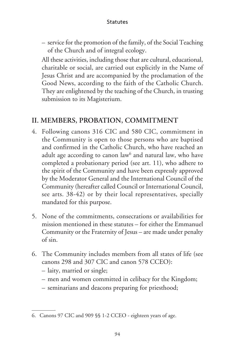– service for the promotion of the family, of the Social Teaching of the Church and of integral ecology.

All these activities, including those that are cultural, educational, charitable or social, are carried out explicitly in the Name of Jesus Christ and are accompanied by the proclamation of the Good News, according to the faith of the Catholic Church. They are enlightened by the teaching of the Church, in trusting submission to its Magisterium.

### **II. MEMBERS, PROBATION, COMMITMENT**

- 4. Following canons 316 CIC and 580 CIC, commitment in the Community is open to those persons who are baptised and confirmed in the Catholic Church, who have reached an adult age according to canon law<sup>6</sup> and natural law, who have completed a probationary period (see art. 11), who adhere to the spirit of the Community and have been expressly approved by the Moderator General and the International Council of the Community (hereafter called Council or International Council, see arts. 38-42) or by their local representatives, specially mandated for this purpose.
- 5. None of the commitments, consecrations or availabilities for mission mentioned in these statutes – for either the Emmanuel Community or the Fraternity of Jesus – are made under penalty of sin.
- 6. The Community includes members from all states of life (see canons 298 and 307 CIC and canon 578 CCEO):
	- laity, married or single;
	- men and women committed in celibacy for the Kingdom;
	- seminarians and deacons preparing for priesthood;

<sup>6.</sup> Canons 97 CIC and 909 §§ 1-2 CCEO - eighteen years of age.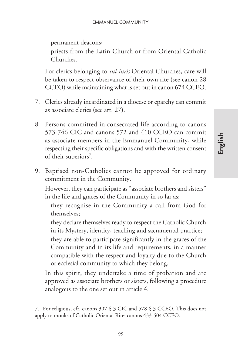- permanent deacons;
- priests from the Latin Church or from Oriental Catholic Churches.

For clerics belonging to *sui iuris* Oriental Churches, care will be taken to respect observance of their own rite (see canon 28 CCEO) while maintaining what is set out in canon 674 CCEO.

- 7. Clerics already incardinated in a diocese or eparchy can commit as associate clerics (see art. 27).
- 8. Persons committed in consecrated life according to canons 573-746 CIC and canons 572 and 410 CCEO can commit as associate members in the Emmanuel Community, while respecting their specific obligations and with the written consent of their superiors<sup>7</sup>.
- 9. Baptised non-Catholics cannot be approved for ordinary commitment in the Community.

However, they can participate as "associate brothers and sisters" in the life and graces of the Community in so far as:

- they recognise in the Community a call from God for themselves;
- they declare themselves ready to respect the Catholic Church in its Mystery, identity, teaching and sacramental practice;
- they are able to participate significantly in the graces of the Community and in its life and requirements, in a manner compatible with the respect and loyalty due to the Church or ecclesial community to which they belong.

In this spirit, they undertake a time of probation and are approved as associate brothers or sisters, following a procedure analogous to the one set out in article 4.

<sup>7.</sup> For religious, cfr. canons 307 § 3 CIC and 578 § 3 CCEO. This does not apply to monks of Catholic Oriental Rite: canons 433-504 CCEO.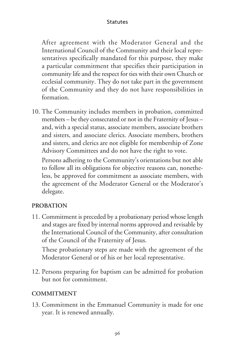After agreement with the Moderator General and the International Council of the Community and their local representatives specifically mandated for this purpose, they make a particular commitment that specifies their participation in community life and the respect for ties with their own Church or ecclesial community. They do not take part in the government of the Community and they do not have responsibilities in formation.

10. The Community includes members in probation, committed members – be they consecrated or not in the Fraternity of Jesus – and, with a special status, associate members, associate brothers and sisters, and associate clerics. Associate members, brothers and sisters, and clerics are not eligible for membership of Zone Advisory Committees and do not have the right to vote.

Persons adhering to the Community's orientations but not able to follow all its obligations for objective reasons can, nonetheless, be approved for commitment as associate members, with the agreement of the Moderator General or the Moderator's delegate.

#### **PROBATION**

11. Commitment is preceded by a probationary period whose length and stages are fixed by internal norms approved and revisable by the International Council of the Community, after consultation of the Council of the Fraternity of Jesus.

These probationary steps are made with the agreement of the Moderator General or of his or her local representative.

12. Persons preparing for baptism can be admitted for probation but not for commitment.

#### **COMMITMENT**

13. Commitment in the Emmanuel Community is made for one year. It is renewed annually.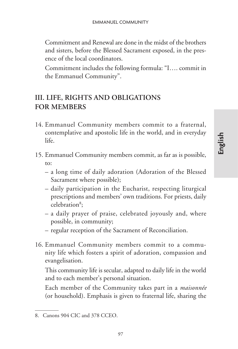Commitment and Renewal are done in the midst of the brothers and sisters, before the Blessed Sacrament exposed, in the presence of the local coordinators.

Commitment includes the following formula: "I…. commit in the Emmanuel Community".

## **III. LIFE, RIGHTS AND OBLIGATIONS FOR MEMBERS**

- 14. Emmanuel Community members commit to a fraternal, contemplative and apostolic life in the world, and in everyday life.
- 15. Emmanuel Community members commit, as far as is possible, to:
	- a long time of daily adoration (Adoration of the Blessed Sacrament where possible);

**English**

- daily participation in the Eucharist, respecting liturgical prescriptions and members' own traditions. For priests, daily celebration<sup>8</sup>;
- a daily prayer of praise, celebrated joyously and, where possible, in community;
- regular reception of the Sacrament of Reconciliation.
- 16. Emmanuel Community members commit to a community life which fosters a spirit of adoration, compassion and evangelisation.

This community life is secular, adapted to daily life in the world and to each member's personal situation.

Each member of the Community takes part in a *maisonnée* (or household). Emphasis is given to fraternal life, sharing the

<sup>8.</sup> Canons 904 CIC and 378 CCEO.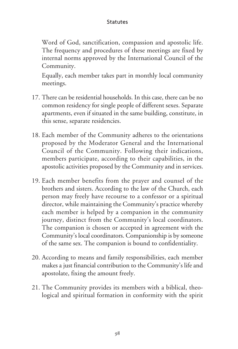Word of God, sanctification, compassion and apostolic life. The frequency and procedures of these meetings are fixed by internal norms approved by the International Council of the Community.

Equally, each member takes part in monthly local community meetings.

- 17. There can be residential households. In this case, there can be no common residency for single people of different sexes. Separate apartments, even if situated in the same building, constitute, in this sense, separate residencies.
- 18. Each member of the Community adheres to the orientations proposed by the Moderator General and the International Council of the Community. Following their indications, members participate, according to their capabilities, in the apostolic activities proposed by the Community and in services.
- 19. Each member benefits from the prayer and counsel of the brothers and sisters. According to the law of the Church, each person may freely have recourse to a confessor or a spiritual director, while maintaining the Community's practice whereby each member is helped by a companion in the community journey, distinct from the Community's local coordinators. The companion is chosen or accepted in agreement with the Community's local coordinators. Companionship is by someone of the same sex. The companion is bound to confidentiality.
- 20. According to means and family responsibilities, each member makes a just financial contribution to the Community's life and apostolate, fixing the amount freely.
- 21. The Community provides its members with a biblical, theological and spiritual formation in conformity with the spirit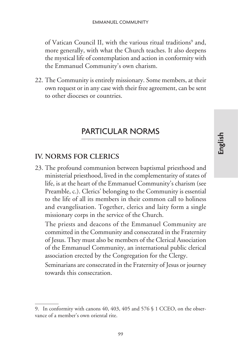of Vatican Council II, with the various ritual traditions<sup>9</sup> and, more generally, with what the Church teaches. It also deepens the mystical life of contemplation and action in conformity with the Emmanuel Community's own charism.

22. The Community is entirely missionary. Some members, at their own request or in any case with their free agreement, can be sent to other dioceses or countries.

## PARTICULAR NORMS

#### **IV. NORMS FOR CLERICS**

23. The profound communion between baptismal priesthood and ministerial priesthood, lived in the complementarity of states of life, is at the heart of the Emmanuel Community's charism (see Preamble, c.). Clerics' belonging to the Community is essential to the life of all its members in their common call to holiness and evangelisation. Together, clerics and laity form a single missionary corps in the service of the Church.

The priests and deacons of the Emmanuel Community are committed in the Community and consecrated in the Fraternity of Jesus. They must also be members of the Clerical Association of the Emmanuel Community, an international public clerical association erected by the Congregation for the Clergy.

Seminarians are consecrated in the Fraternity of Jesus or journey towards this consecration.

<sup>9.</sup> In conformity with canons 40, 403, 405 and 576 § 1 CCEO, on the observance of a member's own oriental rite.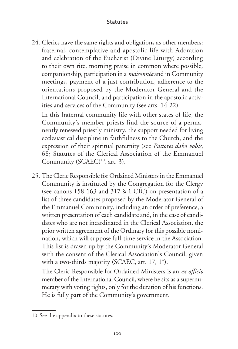24. Clerics have the same rights and obligations as other members: fraternal, contemplative and apostolic life with Adoration and celebration of the Eucharist (Divine Liturgy) according to their own rite, morning praise in common where possible, companionship, participation in a *maisonnée* and in Community meetings, payment of a just contribution, adherence to the orientations proposed by the Moderator General and the International Council, and participation in the apostolic activities and services of the Community (see arts. 14-22).

In this fraternal community life with other states of life, the Community's member priests find the source of a permanently renewed priestly ministry, the support needed for living ecclesiastical discipline in faithfulness to the Church, and the expression of their spiritual paternity (see *Pastores dabo vobis*, 68; Statutes of the Clerical Association of the Emmanuel Community (SCAEC)<sup>10</sup>, art. 3).

25. The Cleric Responsible for Ordained Ministers in the Emmanuel Community is instituted by the Congregation for the Clergy (see canons 158-163 and 317 § 1 CIC) on presentation of a list of three candidates proposed by the Moderator General of the Emmanuel Community, including an order of preference, a written presentation of each candidate and, in the case of candidates who are not incardinated in the Clerical Association, the prior written agreement of the Ordinary for this possible nomination, which will suppose full-time service in the Association. This list is drawn up by the Community's Moderator General with the consent of the Clerical Association's Council, given with a two-thirds majority (SCAEC, art. 17, 1°).

The Cleric Responsible for Ordained Ministers is an *ex officio* member of the International Council, where he sits as a supernumerary with voting rights, only for the duration of his functions. He is fully part of the Community's government.

<sup>10.</sup> See the appendix to these statutes.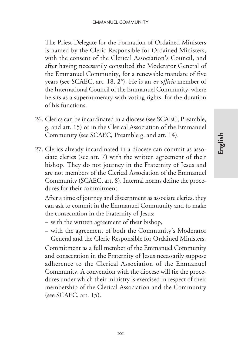The Priest Delegate for the Formation of Ordained Ministers is named by the Cleric Responsible for Ordained Ministers, with the consent of the Clerical Association's Council, and after having necessarily consulted the Moderator General of the Emmanuel Community, for a renewable mandate of five years (see SCAEC, art. 18, 2°). He is an *ex officio* member of the International Council of the Emmanuel Community, where he sits as a supernumerary with voting rights, for the duration of his functions.

- 26. Clerics can be incardinated in a diocese (see SCAEC, Preamble, g. and art. 15) or in the Clerical Association of the Emmanuel Community (see SCAEC, Preamble g. and art. 14).
- 27. Clerics already incardinated in a diocese can commit as associate clerics (see art. 7) with the written agreement of their bishop. They do not journey in the Fraternity of Jesus and are not members of the Clerical Association of the Emmanuel Community (SCAEC, art. 8). Internal norms define the procedures for their commitment.

After a time of journey and discernment as associate clerics, they can ask to commit in the Emmanuel Community and to make the consecration in the Fraternity of Jesus:

- with the written agreement of their bishop,
- with the agreement of both the Community's Moderator General and the Cleric Responsible for Ordained Ministers.

Commitment as a full member of the Emmanuel Community and consecration in the Fraternity of Jesus necessarily suppose adherence to the Clerical Association of the Emmanuel Community. A convention with the diocese will fix the procedures under which their ministry is exercised in respect of their membership of the Clerical Association and the Community (see SCAEC, art. 15).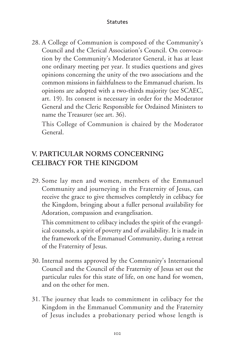28. A College of Communion is composed of the Community's Council and the Clerical Association's Council. On convocation by the Community's Moderator General, it has at least one ordinary meeting per year. It studies questions and gives opinions concerning the unity of the two associations and the common missions in faithfulness to the Emmanuel charism. Its opinions are adopted with a two-thirds majority (see SCAEC, art. 19). Its consent is necessary in order for the Moderator General and the Cleric Responsible for Ordained Ministers to name the Treasurer (see art. 36).

This College of Communion is chaired by the Moderator General.

## **V. PARTICULAR NORMS CONCERNING CELIBACY FOR THE KINGDOM**

29. Some lay men and women, members of the Emmanuel Community and journeying in the Fraternity of Jesus, can receive the grace to give themselves completely in celibacy for the Kingdom, bringing about a fuller personal availability for Adoration, compassion and evangelisation.

This commitment to celibacy includes the spirit of the evangelical counsels, a spirit of poverty and of availability. It is made in the framework of the Emmanuel Community, during a retreat of the Fraternity of Jesus.

- 30. Internal norms approved by the Community's International Council and the Council of the Fraternity of Jesus set out the particular rules for this state of life, on one hand for women, and on the other for men.
- 31. The journey that leads to commitment in celibacy for the Kingdom in the Emmanuel Community and the Fraternity of Jesus includes a probationary period whose length is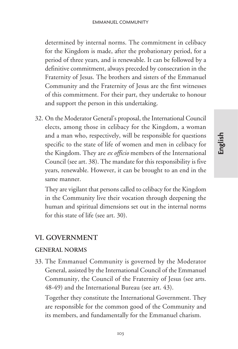determined by internal norms. The commitment in celibacy for the Kingdom is made, after the probationary period, for a period of three years, and is renewable. It can be followed by a definitive commitment, always preceded by consecration in the Fraternity of Jesus. The brothers and sisters of the Emmanuel Community and the Fraternity of Jesus are the first witnesses of this commitment. For their part, they undertake to honour and support the person in this undertaking.

32. On the Moderator General's proposal, the International Council elects, among those in celibacy for the Kingdom, a woman and a man who, respectively, will be responsible for questions specific to the state of life of women and men in celibacy for the Kingdom. They are *ex officio* members of the International Council (see art. 38). The mandate for this responsibility is five years, renewable. However, it can be brought to an end in the same manner.

They are vigilant that persons called to celibacy for the Kingdom in the Community live their vocation through deepening the human and spiritual dimensions set out in the internal norms for this state of life (see art. 30).

#### **VI. GOVERNMENT**

#### **GENERAL NORMS**

33. The Emmanuel Community is governed by the Moderator General, assisted by the International Council of the Emmanuel Community, the Council of the Fraternity of Jesus (see arts. 48-49) and the International Bureau (see art. 43).

Together they constitute the International Government. They are responsible for the common good of the Community and its members, and fundamentally for the Emmanuel charism.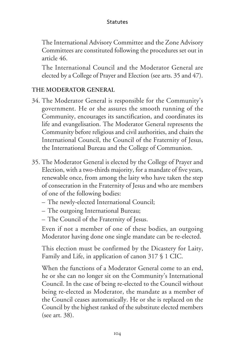The International Advisory Committee and the Zone Advisory Committees are constituted following the procedures set out in article 46.

The International Council and the Moderator General are elected by a College of Prayer and Election (see arts. 35 and 47).

#### **THE MODERATOR GENERAL**

- 34. The Moderator General is responsible for the Community's government. He or she assures the smooth running of the Community, encourages its sanctification, and coordinates its life and evangelisation. The Moderator General represents the Community before religious and civil authorities, and chairs the International Council, the Council of the Fraternity of Jesus, the International Bureau and the College of Communion.
- 35. The Moderator General is elected by the College of Prayer and Election, with a two-thirds majority, for a mandate of five years, renewable once, from among the laity who have taken the step of consecration in the Fraternity of Jesus and who are members of one of the following bodies:
	- The newly-elected International Council;
	- The outgoing International Bureau;
	- The Council of the Fraternity of Jesus.

Even if not a member of one of these bodies, an outgoing Moderator having done one single mandate can be re-elected.

This election must be confirmed by the Dicastery for Laity, Family and Life, in application of canon 317 § 1 CIC.

When the functions of a Moderator General come to an end, he or she can no longer sit on the Community's International Council. In the case of being re-elected to the Council without being re-elected as Moderator, the mandate as a member of the Council ceases automatically. He or she is replaced on the Council by the highest ranked of the substitute elected members (see art. 38).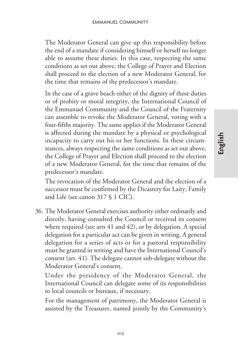The Moderator General can give up this responsibility before the end of a mandate if considering himself or herself no longer able to assume these duties. In this case, respecting the same conditions as set out above, the College of Prayer and Election shall proceed to the election of a new Moderator General, for the time that remains of the predecessor's mandate.

In the case of a grave beach either of the dignity of these duties or of probity or moral integrity, the International Council of the Emmanuel Community and the Council of the Fraternity can assemble to revoke the Moderator General, voting with a four-fifths majority. The same applies if the Moderator General is affected during the mandate by a physical or psychological incapacity to carry out his or her functions. In these circumstances, always respecting the same conditions as set out above, the College of Prayer and Election shall proceed to the election of a new Moderator General, for the time that remains of the predecessor's mandate.

The revocation of the Moderator General and the election of a successor must be confirmed by the Dicastery for Laity, Family and Life (see canon 317 § 1 CIC).

36. The Moderator General exercises authority either ordinarily and directly, having consulted the Council or received its consent where required (see arts 41 and 42), or by delegation. A special delegation for a particular act can be given in writing, A general delegation for a series of acts or for a pastoral responsibility must be granted in writing and have the International Council's consent (art. 41). The delegate cannot sub-delegate without the Moderator General's consent.

Under the presidency of the Moderator General, the International Council can delegate some of its responsibilities to local councils or bureaux, if necessary.

For the management of patrimony, the Moderator General is assisted by the Treasurer, named jointly by the Community's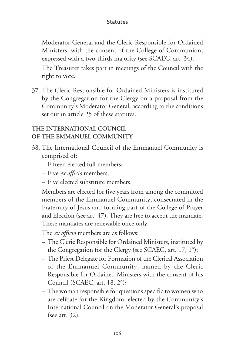Moderator General and the Cleric Responsible for Ordained Ministers, with the consent of the College of Communion, expressed with a two-thirds majority (see SCAEC, art. 34).

The Treasurer takes part in meetings of the Council with the right to vote.

37. The Cleric Responsible for Ordained Ministers is instituted by the Congregation for the Clergy on a proposal from the Community's Moderator General, according to the conditions set out in article 25 of these statutes.

#### **THE INTERNATIONAL COUNCIL OF THE EMMANUEL COMMUNITY**

- 38. The International Council of the Emmanuel Community is comprised of:
	- Fifteen elected full members;
	- Five *ex officio* members;
	- Five elected substitute members.

Members are elected for five years from among the committed members of the Emmanuel Community, consecrated in the Fraternity of Jesus and forming part of the College of Prayer and Election (see art. 47). They are free to accept the mandate. These mandates are renewable once only.

The *ex officio* members are as follows:

- The Cleric Responsible for Ordained Ministers, instituted by the Congregation for the Clergy (see SCAEC, art. 17, 1°);
- The Priest Delegate for Formation of the Clerical Association of the Emmanuel Community, named by the Cleric Responsible for Ordained Ministers with the consent of his Council (SCAEC, art. 18, 2°);
- The woman responsible for questions specific to women who are celibate for the Kingdom, elected by the Community's International Council on the Moderator General's proposal (see art. 32);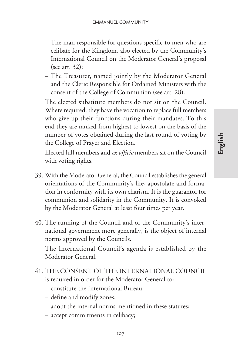- The man responsible for questions specific to men who are celibate for the Kingdom, also elected by the Community's International Council on the Moderator General's proposal (see art. 32);
- The Treasurer, named jointly by the Moderator General and the Cleric Responsible for Ordained Ministers with the consent of the College of Communion (see art. 28).

The elected substitute members do not sit on the Council. Where required, they have the vocation to replace full members who give up their functions during their mandates. To this end they are ranked from highest to lowest on the basis of the number of votes obtained during the last round of voting by the College of Prayer and Election.

Elected full members and *ex officio* members sit on the Council with voting rights.

- 39. With the Moderator General, the Council establishes the general orientations of the Community's life, apostolate and formation in conformity with its own charism. It is the guarantor for communion and solidarity in the Community. It is convoked by the Moderator General at least four times per year.
- 40. The running of the Council and of the Community's international government more generally, is the object of internal norms approved by the Councils.

The International Council's agenda is established by the Moderator General.

- 41. THE CONSENT OF THE INTERNATIONAL COUNCIL is required in order for the Moderator General to:
	- constitute the International Bureau:
	- define and modify zones;
	- adopt the internal norms mentioned in these statutes;
	- accept commitments in celibacy;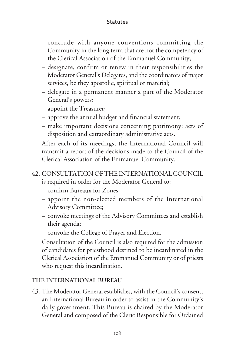- conclude with anyone conventions committing the Community in the long term that are not the competency of the Clerical Association of the Emmanuel Community;
- designate, confirm or renew in their responsibilities the Moderator General's Delegates, and the coordinators of major services, be they apostolic, spiritual or material;
- delegate in a permanent manner a part of the Moderator General's powers;
- appoint the Treasurer;
- approve the annual budget and financial statement;
- make important decisions concerning patrimony: acts of disposition and extraordinary administrative acts.

After each of its meetings, the International Council will transmit a report of the decisions made to the Council of the Clerical Association of the Emmanuel Community.

- 42. CONSULTATION OF THE INTERNATIONAL COUNCIL is required in order for the Moderator General to:
	- confirm Bureaux for Zones;
	- appoint the non-elected members of the International Advisory Committee;
	- convoke meetings of the Advisory Committees and establish their agenda;
	- convoke the College of Prayer and Election.

Consultation of the Council is also required for the admission of candidates for priesthood destined to be incardinated in the Clerical Association of the Emmanuel Community or of priests who request this incardination.

#### **THE INTERNATIONAL BUREAU**

43. The Moderator General establishes, with the Council's consent, an International Bureau in order to assist in the Community's daily government. This Bureau is chaired by the Moderator General and composed of the Cleric Responsible for Ordained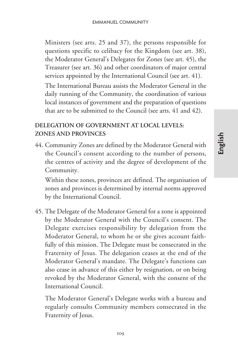Ministers (see arts. 25 and 37), the persons responsible for questions specific to celibacy for the Kingdom (see art. 38), the Moderator General's Delegates for Zones (see art. 45), the Treasurer (see art. 36) and other coordinators of major central services appointed by the International Council (see art. 41).

The International Bureau assists the Moderator General in the daily running of the Community, the coordination of various local instances of government and the preparation of questions that are to be submitted to the Council (see arts. 41 and 42).

#### **DELEGATION OF GOVERNMENT AT LOCAL LEVELS: ZONES AND PROVINCES**

44. Community Zones are defined by the Moderator General with the Council's consent according to the number of persons, the centres of activity and the degree of development of the Community.

Within these zones, provinces are defined. The organisation of zones and provinces is determined by internal norms approved by the International Council.

45. The Delegate of the Moderator General for a zone is appointed by the Moderator General with the Council's consent. The Delegate exercises responsibility by delegation from the Moderator General, to whom he or she gives account faithfully of this mission. The Delegate must be consecrated in the Fraternity of Jesus. The delegation ceases at the end of the Moderator General's mandate. The Delegate's functions can also cease in advance of this either by resignation, or on being revoked by the Moderator General, with the consent of the International Council.

The Moderator General's Delegate works with a bureau and regularly consults Community members consecrated in the Fraternity of Jesus.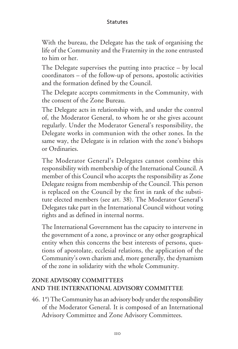With the bureau, the Delegate has the task of organising the life of the Community and the Fraternity in the zone entrusted to him or her.

The Delegate supervises the putting into practice – by local coordinators – of the follow-up of persons, apostolic activities and the formation defined by the Council.

The Delegate accepts commitments in the Community, with the consent of the Zone Bureau.

The Delegate acts in relationship with, and under the control of, the Moderator General, to whom he or she gives account regularly. Under the Moderator General's responsibility, the Delegate works in communion with the other zones. In the same way, the Delegate is in relation with the zone's bishops or Ordinaries.

The Moderator General's Delegates cannot combine this responsibility with membership of the International Council. A member of this Council who accepts the responsibility as Zone Delegate resigns from membership of the Council. This person is replaced on the Council by the first in rank of the substitute elected members (see art. 38). The Moderator General's Delegates take part in the International Council without voting rights and as defined in internal norms.

The International Government has the capacity to intervene in the government of a zone, a province or any other geographical entity when this concerns the best interests of persons, questions of apostolate, ecclesial relations, the application of the Community's own charism and, more generally, the dynamism of the zone in solidarity with the whole Community.

#### **ZONE ADVISORY COMMITTEES AND THE INTERNATIONAL ADVISORY COMMITTEE**

46. 1°) The Community has an advisory body under the responsibility of the Moderator General. It is composed of an International Advisory Committee and Zone Advisory Committees.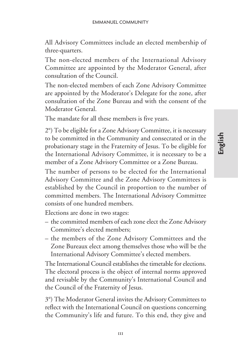All Advisory Committees include an elected membership of three-quarters.

The non-elected members of the International Advisory Committee are appointed by the Moderator General, after consultation of the Council.

The non-elected members of each Zone Advisory Committee are appointed by the Moderator's Delegate for the zone, after consultation of the Zone Bureau and with the consent of the Moderator General.

The mandate for all these members is five years.

2°) To be eligible for a Zone Advisory Committee, it is necessary to be committed in the Community and consecrated or in the probationary stage in the Fraternity of Jesus. To be eligible for the International Advisory Committee, it is necessary to be a member of a Zone Advisory Committee or a Zone Bureau.

The number of persons to be elected for the International Advisory Committee and the Zone Advisory Committees is established by the Council in proportion to the number of committed members. The International Advisory Committee consists of one hundred members.

Elections are done in two stages:

- the committed members of each zone elect the Zone Advisory Committee's elected members;
- the members of the Zone Advisory Committees and the Zone Bureaux elect among themselves those who will be the International Advisory Committee's elected members.

The International Council establishes the timetable for elections. The electoral process is the object of internal norms approved and revisable by the Community's International Council and the Council of the Fraternity of Jesus.

3°) The Moderator General invites the Advisory Committees to reflect with the International Council on questions concerning the Community's life and future. To this end, they give and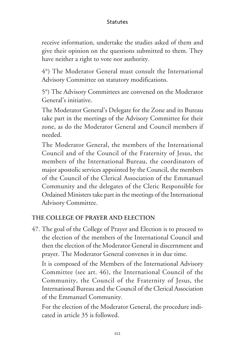receive information, undertake the studies asked of them and give their opinion on the questions submitted to them. They have neither a right to vote nor authority.

4°) The Moderator General must consult the International Advisory Committee on statutory modifications.

5°) The Advisory Committees are convened on the Moderator General's initiative.

The Moderator General's Delegate for the Zone and its Bureau take part in the meetings of the Advisory Committee for their zone, as do the Moderator General and Council members if needed.

The Moderator General, the members of the International Council and of the Council of the Fraternity of Jesus, the members of the International Bureau, the coordinators of major apostolic services appointed by the Council, the members of the Council of the Clerical Association of the Emmanuel Community and the delegates of the Cleric Responsible for Ordained Ministers take part in the meetings of the International Advisory Committee.

#### **THE COLLEGE OF PRAYER AND ELECTION**

47. The goal of the College of Prayer and Election is to proceed to the election of the members of the International Council and then the election of the Moderator General in discernment and prayer. The Moderator General convenes it in due time.

It is composed of the Members of the International Advisory Committee (see art. 46), the International Council of the Community, the Council of the Fraternity of Jesus, the International Bureau and the Council of the Clerical Association of the Emmanuel Community.

For the election of the Moderator General, the procedure indicated in article 35 is followed.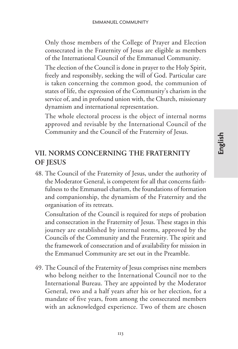Only those members of the College of Prayer and Election consecrated in the Fraternity of Jesus are eligible as members of the International Council of the Emmanuel Community.

The election of the Council is done in prayer to the Holy Spirit, freely and responsibly, seeking the will of God. Particular care is taken concerning the common good, the communion of states of life, the expression of the Community's charism in the service of, and in profound union with, the Church, missionary dynamism and international representation.

The whole electoral process is the object of internal norms approved and revisable by the International Council of the Community and the Council of the Fraternity of Jesus.

## **VII. NORMS CONCERNING THE FRATERNITY OF JESUS**

48. The Council of the Fraternity of Jesus, under the authority of the Moderator General, is competent for all that concerns faithfulness to the Emmanuel charism, the foundations of formation and companionship, the dynamism of the Fraternity and the organisation of its retreats.

Consultation of the Council is required for steps of probation and consecration in the Fraternity of Jesus. These stages in this journey are established by internal norms, approved by the Councils of the Community and the Fraternity. The spirit and the framework of consecration and of availability for mission in the Emmanuel Community are set out in the Preamble.

49. The Council of the Fraternity of Jesus comprises nine members who belong neither to the International Council nor to the International Bureau. They are appointed by the Moderator General, two and a half years after his or her election, for a mandate of five years, from among the consecrated members with an acknowledged experience. Two of them are chosen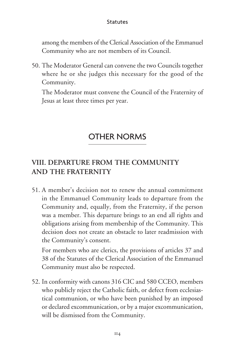among the members of the Clerical Association of the Emmanuel Community who are not members of its Council.

50. The Moderator General can convene the two Councils together where he or she judges this necessary for the good of the Community.

The Moderator must convene the Council of the Fraternity of Jesus at least three times per year.

## OTHER NORMS

## **VIII. DEPARTURE FROM THE COMMUNITY AND THE FRATERNITY**

51. A member's decision not to renew the annual commitment in the Emmanuel Community leads to departure from the Community and, equally, from the Fraternity, if the person was a member. This departure brings to an end all rights and obligations arising from membership of the Community. This decision does not create an obstacle to later readmission with the Community's consent.

For members who are clerics, the provisions of articles 37 and 38 of the Statutes of the Clerical Association of the Emmanuel Community must also be respected.

52. In conformity with canons 316 CIC and 580 CCEO, members who publicly reject the Catholic faith, or defect from ecclesiastical communion, or who have been punished by an imposed or declared excommunication, or by a major excommunication, will be dismissed from the Community.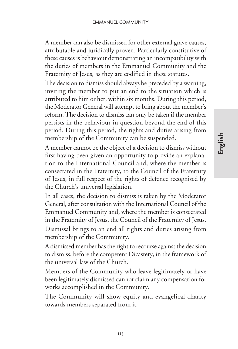A member can also be dismissed for other external grave causes, attributable and juridically proven. Particularly constitutive of these causes is behaviour demonstrating an incompatibility with the duties of members in the Emmanuel Community and the Fraternity of Jesus, as they are codified in these statutes.

The decision to dismiss should always be preceded by a warning, inviting the member to put an end to the situation which is attributed to him or her, within six months. During this period, the Moderator General will attempt to bring about the member's reform. The decision to dismiss can only be taken if the member persists in the behaviour in question beyond the end of this period. During this period, the rights and duties arising from membership of the Community can be suspended.

A member cannot be the object of a decision to dismiss without first having been given an opportunity to provide an explanation to the International Council and, where the member is consecrated in the Fraternity, to the Council of the Fraternity of Jesus, in full respect of the rights of defence recognised by the Church's universal legislation.

In all cases, the decision to dismiss is taken by the Moderator General, after consultation with the International Council of the Emmanuel Community and, where the member is consecrated in the Fraternity of Jesus, the Council of the Fraternity of Jesus.

Dismissal brings to an end all rights and duties arising from membership of the Community.

A dismissed member has the right to recourse against the decision to dismiss, before the competent Dicastery, in the framework of the universal law of the Church.

Members of the Community who leave legitimately or have been legitimately dismissed cannot claim any compensation for works accomplished in the Community.

The Community will show equity and evangelical charity towards members separated from it.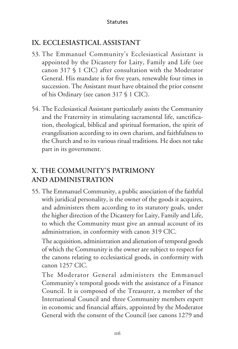## **IX. ECCLESIASTICAL ASSISTANT**

- 53. The Emmanuel Community's Ecclesiastical Assistant is appointed by the Dicastery for Laity, Family and Life (see canon 317 § 1 CIC) after consultation with the Moderator General. His mandate is for five years, renewable four times in succession. The Assistant must have obtained the prior consent of his Ordinary (see canon 317 § 1 CIC).
- 54. The Ecclesiastical Assistant particularly assists the Community and the Fraternity in stimulating sacramental life, sanctification, theological, biblical and spiritual formation, the spirit of evangelisation according to its own charism, and faithfulness to the Church and to its various ritual traditions. He does not take part in its government.

## **X. THE COMMUNITY'S PATRIMONY AND ADMINISTRATION**

55. The Emmanuel Community, a public association of the faithful with juridical personality, is the owner of the goods it acquires, and administers them according to its statutory goals, under the higher direction of the Dicastery for Laity, Family and Life, to which the Community must give an annual account of its administration, in conformity with canon 319 CIC.

The acquisition, administration and alienation of temporal goods of which the Community is the owner are subject to respect for the canons relating to ecclesiastical goods, in conformity with canon 1257 CIC.

The Moderator General administers the Emmanuel Community's temporal goods with the assistance of a Finance Council. It is composed of the Treasurer, a member of the International Council and three Community members expert in economic and financial affairs, appointed by the Moderator General with the consent of the Council (see canons 1279 and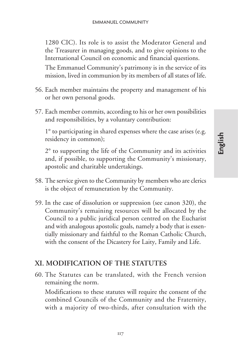1280 CIC). Its role is to assist the Moderator General and the Treasurer in managing goods, and to give opinions to the International Council on economic and financial questions. The Emmanuel Community's patrimony is in the service of its

mission, lived in communion by its members of all states of life. 56. Each member maintains the property and management of his

- or her own personal goods.
- 57. Each member commits, according to his or her own possibilities and responsibilities, by a voluntary contribution:

1° to participating in shared expenses where the case arises (e.g. residency in common);

2° to supporting the life of the Community and its activities and, if possible, to supporting the Community's missionary, apostolic and charitable undertakings.

- 58. The service given to the Community by members who are clerics is the object of remuneration by the Community.
- 59. In the case of dissolution or suppression (see canon 320), the Community's remaining resources will be allocated by the Council to a public juridical person centred on the Eucharist and with analogous apostolic goals, namely a body that is essentially missionary and faithful to the Roman Catholic Church, with the consent of the Dicastery for Laity, Family and Life.

#### **XI. MODIFICATION OF THE STATUTES**

60. The Statutes can be translated, with the French version remaining the norm.

Modifications to these statutes will require the consent of the combined Councils of the Community and the Fraternity, with a majority of two-thirds, after consultation with the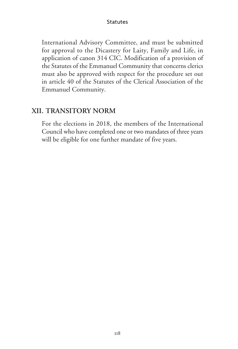International Advisory Committee, and must be submitted for approval to the Dicastery for Laity, Family and Life, in application of canon 314 CIC. Modification of a provision of the Statutes of the Emmanuel Community that concerns clerics must also be approved with respect for the procedure set out in article 40 of the Statutes of the Clerical Association of the Emmanuel Community.

#### **XII. TRANSITORY NORM**

For the elections in 2018, the members of the International Council who have completed one or two mandates of three years will be eligible for one further mandate of five years.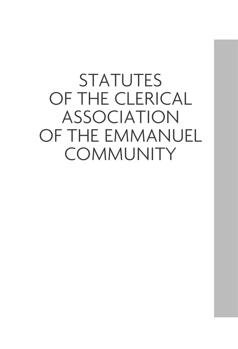**STATUTES** OF THE CLERICAL ASSOCIATION OF THE EMMANUEL **COMMUNITY**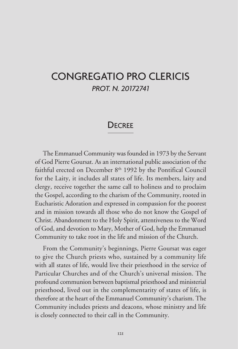# CONGREGATIO PRO CLERICIS *PROT. N. 20172741*

### **DECREE**

The Emmanuel Community was founded in 1973 by the Servant of God Pierre Goursat. As an international public association of the faithful erected on December  $8<sup>th</sup>$  1992 by the Pontifical Council for the Laity, it includes all states of life. Its members, laity and clergy, receive together the same call to holiness and to proclaim the Gospel, according to the charism of the Community, rooted in Eucharistic Adoration and expressed in compassion for the poorest and in mission towards all those who do not know the Gospel of Christ. Abandonment to the Holy Spirit, attentiveness to the Word of God, and devotion to Mary, Mother of God, help the Emmanuel Community to take root in the life and mission of the Church.

From the Community's beginnings, Pierre Goursat was eager to give the Church priests who, sustained by a community life with all states of life, would live their priesthood in the service of Particular Churches and of the Church's universal mission. The profound communion between baptismal priesthood and ministerial priesthood, lived out in the complementarity of states of life, is therefore at the heart of the Emmanuel Community's charism. The Community includes priests and deacons, whose ministry and life is closely connected to their call in the Community.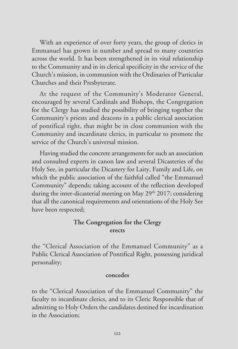With an experience of over forty years, the group of clerics in Emmanuel has grown in number and spread to many countries across the world. It has been strengthened in its vital relationship to the Community and in its clerical specificity in the service of the Church's mission, in communion with the Ordinaries of Particular Churches and their Presbyterate.

At the request of the Community's Moderator General, encouraged by several Cardinals and Bishops, the Congregation for the Clergy has studied the possibility of bringing together the Community's priests and deacons in a public clerical association of pontifical right, that might be in close communion with the Community and incardinate clerics, in particular to promote the service of the Church's universal mission.

Having studied the concrete arrangements for such an association and consulted experts in canon law and several Dicasteries of the Holy See, in particular the Dicastery for Laity, Family and Life, on which the public association of the faithful called "the Emmanuel Community" depends; taking account of the reflection developed during the inter-dicasterial meeting on May  $29<sup>th</sup> 2017$ ; considering that all the canonical requirements and orientations of the Holy See have been respected;

#### **The Congregation for the Clergy erects**

the "Clerical Association of the Emmanuel Community" as a Public Clerical Association of Pontifical Right, possessing juridical personality;

#### **concedes**

to the "Clerical Association of the Emmanuel Community" the faculty to incardinate clerics, and to its Cleric Responsible that of admitting to Holy Orders the candidates destined for incardination in the Association;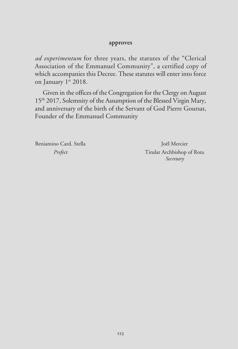#### **approves**

*ad experimentum* for three years, the statutes of the "Clerical Association of the Emmanuel Community", a certified copy of which accompanies this Decree. These statutes will enter into force on January 1st 2018.

Given in the offices of the Congregation for the Clergy on August 15<sup>th</sup> 2017, Solemnity of the Assumption of the Blessed Virgin Mary, and anniversary of the birth of the Servant of God Pierre Goursat, Founder of the Emmanuel Community

Beniamino Card. Stella Joël Mercier

*Prefect* Titular Archbishop of Rota *Secretary*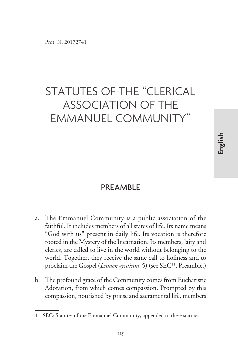# STATUTES OF THE "CLERICAL ASSOCIATION OF THE EMMANUEL COMMUNITY"

### PREAMBLE

- a. The Emmanuel Community is a public association of the faithful. It includes members of all states of life. Its name means "God with us" present in daily life. Its vocation is therefore rooted in the Mystery of the Incarnation. Its members, laity and clerics, are called to live in the world without belonging to the world. Together, they receive the same call to holiness and to proclaim the Gospel (*Lumen gentium*, 5) (see SEC<sup>11</sup>, Preamble.)
- b. The profound grace of the Community comes from Eucharistic Adoration, from which comes compassion. Prompted by this compassion, nourished by praise and sacramental life, members

**English**

<sup>11.</sup> SEC: Statutes of the Emmanuel Community, appended to these statutes.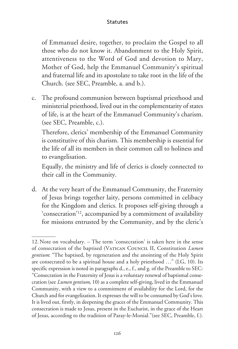of Emmanuel desire, together, to proclaim the Gospel to all those who do not know it. Abandonment to the Holy Spirit, attentiveness to the Word of God and devotion to Mary, Mother of God, help the Emmanuel Community's spiritual and fraternal life and its apostolate to take root in the life of the Church. (see SEC, Preamble, a. and b.).

c. The profound communion between baptismal priesthood and ministerial priesthood, lived out in the complementarity of states of life, is at the heart of the Emmanuel Community's charism. (see SEC, Preamble, c.).

Therefore, clerics' membership of the Emmanuel Community is constitutive of this charism. This membership is essential for the life of all its members in their common call to holiness and to evangelisation.

Equally, the ministry and life of clerics is closely connected to their call in the Community.

d. At the very heart of the Emmanuel Community, the Fraternity of Jesus brings together laity, persons committed in celibacy for the Kingdom and clerics. It proposes self-giving through a 'consecration'12, accompanied by a commitment of availability for missions entrusted by the Community, and by the cleric's

<sup>12.</sup> Note on vocabulary. – The term 'consecration' is taken here in the sense of consecration of the baptised (Vatican Council II, Constitution *Lumen gentium*: "The baptised, by regeneration and the anointing of the Holy Spirit are consecrated to be a spiritual house and a holy priesthood …" (LG, 10). Its specific expression is noted in paragraphs d., e., f., and g. of the Preamble to SEC: "Consecration in the Fraternity of Jesus is a voluntary renewal of baptismal consecration (see *Lumen gentium*, 10) as a complete self-giving, lived in the Emmanuel Community, with a view to a commitment of availability for the Lord, for the Church and for evangelization. It expresses the will to be consumed by God's love. It is lived out, firstly, in deepening the graces of the Emmanuel Community. This consecration is made to Jesus, present in the Eucharist, in the grace of the Heart of Jesus, according to the tradition of Paray-le-Monial."(see SEC, Preamble, f.).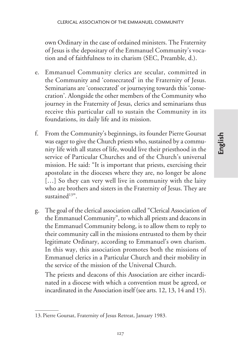own Ordinary in the case of ordained ministers. The Fraternity of Jesus is the depositary of the Emmanuel Community's vocation and of faithfulness to its charism (SEC, Preamble, d.).

- e. Emmanuel Community clerics are secular, committed in the Community and 'consecrated' in the Fraternity of Jesus. Seminarians are 'consecrated' or journeying towards this 'consecration'. Alongside the other members of the Community who journey in the Fraternity of Jesus, clerics and seminarians thus receive this particular call to sustain the Community in its foundations, its daily life and its mission.
- f. From the Community's beginnings, its founder Pierre Goursat was eager to give the Church priests who, sustained by a community life with all states of life, would live their priesthood in the service of Particular Churches and of the Church's universal mission. He said: "It is important that priests, exercising their apostolate in the dioceses where they are, no longer be alone [...] So they can very well live in community with the laity who are brothers and sisters in the Fraternity of Jesus. They are sustained $13"$ .
- g. The goal of the clerical association called "Clerical Association of the Emmanuel Community", to which all priests and deacons in the Emmanuel Community belong, is to allow them to reply to their community call in the missions entrusted to them by their legitimate Ordinary, according to Emmanuel's own charism. In this way, this association promotes both the missions of Emmanuel clerics in a Particular Church and their mobility in the service of the mission of the Universal Church.

The priests and deacons of this Association are either incardinated in a diocese with which a convention must be agreed, or incardinated in the Association itself (see arts. 12, 13, 14 and 15).

<sup>13.</sup> Pierre Goursat, Fraternity of Jesus Retreat, January 1983*.*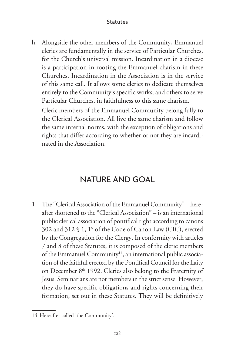h. Alongside the other members of the Community, Emmanuel clerics are fundamentally in the service of Particular Churches, for the Church's universal mission. Incardination in a diocese is a participation in rooting the Emmanuel charism in these Churches. Incardination in the Association is in the service of this same call. It allows some clerics to dedicate themselves entirely to the Community's specific works, and others to serve Particular Churches, in faithfulness to this same charism.

Cleric members of the Emmanuel Community belong fully to the Clerical Association. All live the same charism and follow the same internal norms, with the exception of obligations and rights that differ according to whether or not they are incardinated in the Association.

# NATURE AND GOAL

1. The "Clerical Association of the Emmanuel Community" – hereafter shortened to the "Clerical Association" – is an international public clerical association of pontifical right according to canons 302 and 312 § 1, 1° of the Code of Canon Law (CIC), erected by the Congregation for the Clergy. In conformity with articles 7 and 8 of these Statutes, it is composed of the cleric members of the Emmanuel Community<sup>14</sup>, an international public association of the faithful erected by the Pontifical Council for the Laity on December 8<sup>th</sup> 1992. Clerics also belong to the Fraternity of Jesus. Seminarians are not members in the strict sense. However, they do have specific obligations and rights concerning their formation, set out in these Statutes. They will be definitively

<sup>14.</sup> Hereafter called 'the Community'.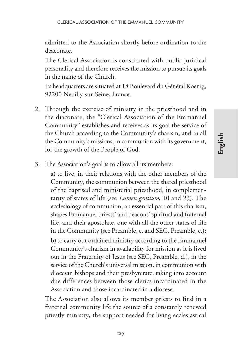admitted to the Association shortly before ordination to the deaconate.

The Clerical Association is constituted with public juridical personality and therefore receives the mission to pursue its goals in the name of the Church.

Its headquarters are situated at 18 Boulevard du Général Koenig, 92200 Neuilly-sur-Seine, France.

- 2. Through the exercise of ministry in the priesthood and in the diaconate, the "Clerical Association of the Emmanuel Community" establishes and receives as its goal the service of the Church according to the Community's charism, and in all the Community's missions, in communion with its government, for the growth of the People of God.
- 3. The Association's goal is to allow all its members:

a) to live, in their relations with the other members of the Community, the communion between the shared priesthood of the baptised and ministerial priesthood, in complementarity of states of life (see *Lumen gentium*, 10 and 23). The ecclesiology of communion, an essential part of this charism, shapes Emmanuel priests' and deacons' spiritual and fraternal life, and their apostolate, one with all the other states of life in the Community (see Preamble, c. and SEC, Preamble, c.); b) to carry out ordained ministry according to the Emmanuel Community's charism in availability for mission as it is lived out in the Fraternity of Jesus (see SEC, Preamble, d.), in the service of the Church's universal mission, in communion with diocesan bishops and their presbyterate, taking into account due differences between those clerics incardinated in the Association and those incardinated in a diocese.

The Association also allows its member priests to find in a fraternal community life the source of a constantly renewed priestly ministry, the support needed for living ecclesiastical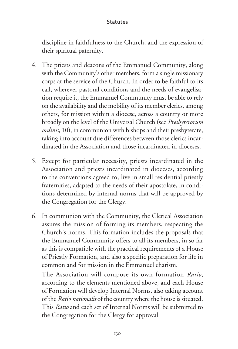discipline in faithfulness to the Church, and the expression of their spiritual paternity.

- 4. The priests and deacons of the Emmanuel Community, along with the Community's other members, form a single missionary corps at the service of the Church. In order to be faithful to its call, wherever pastoral conditions and the needs of evangelisation require it, the Emmanuel Community must be able to rely on the availability and the mobility of its member clerics, among others, for mission within a diocese, across a country or more broadly on the level of the Universal Church (see *Presbyterorum ordinis*, 10), in communion with bishops and their presbyterate, taking into account due differences between those clerics incardinated in the Association and those incardinated in dioceses.
- 5. Except for particular necessity, priests incardinated in the Association and priests incardinated in dioceses, according to the conventions agreed to, live in small residential priestly fraternities, adapted to the needs of their apostolate, in conditions determined by internal norms that will be approved by the Congregation for the Clergy.
- 6. In communion with the Community, the Clerical Association assures the mission of forming its members, respecting the Church's norms. This formation includes the proposals that the Emmanuel Community offers to all its members, in so far as this is compatible with the practical requirements of a House of Priestly Formation, and also a specific preparation for life in common and for mission in the Emmanuel charism.

The Association will compose its own formation *Ratio*, according to the elements mentioned above, and each House of Formation will develop Internal Norms, also taking account of the *Ratio nationalis* of the country where the house is situated. This *Ratio* and each set of Internal Norms will be submitted to the Congregation for the Clergy for approval.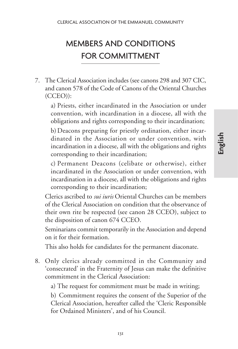# MEMBERS AND CONDITIONS FOR COMMITTMENT

7. The Clerical Association includes (see canons 298 and 307 CIC, and canon 578 of the Code of Canons of the Oriental Churches (CCEO)):

a) Priests, either incardinated in the Association or under convention, with incardination in a diocese, all with the obligations and rights corresponding to their incardination;

b) Deacons preparing for priestly ordination, either incardinated in the Association or under convention, with incardination in a diocese, all with the obligations and rights corresponding to their incardination;

c) Permanent Deacons (celibate or otherwise), either incardinated in the Association or under convention, with incardination in a diocese, all with the obligations and rights corresponding to their incardination;

Clerics ascribed to *sui iuris* Oriental Churches can be members of the Clerical Association on condition that the observance of their own rite be respected (see canon 28 CCEO), subject to the disposition of canon 674 CCEO.

Seminarians commit temporarily in the Association and depend on it for their formation.

This also holds for candidates for the permanent diaconate.

8. Only clerics already committed in the Community and 'consecrated' in the Fraternity of Jesus can make the definitive commitment in the Clerical Association:

a) The request for commitment must be made in writing;

b) Commitment requires the consent of the Superior of the Clerical Association, hereafter called the 'Cleric Responsible for Ordained Ministers', and of his Council.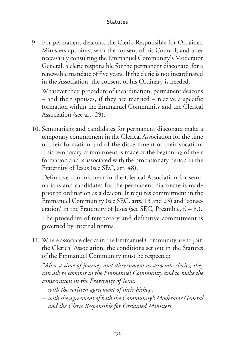9. For permanent deacons, the Cleric Responsible for Ordained Ministers appoints, with the consent of his Council, and after necessarily consulting the Emmanuel Community's Moderator General, a cleric responsible for the permanent diaconate, for a renewable mandate of five years. If the cleric is not incardinated in the Association, the consent of his Ordinary is needed.

Whatever their procedure of incardination, permanent deacons – and their spouses, if they are married – receive a specific formation within the Emmanuel Community and the Clerical Association (see art. 29).

10. Seminarians and candidates for permanent diaconate make a temporary commitment in the Clerical Association for the time of their formation and of the discernment of their vocation. This temporary commitment is made at the beginning of their formation and is associated with the probationary period in the Fraternity of Jesus (see SEC, art. 48).

Definitive commitment in the Clerical Association for seminarians and candidates for the permanent diaconate is made prior to ordination as a deacon. It requires commitment in the Emmanuel Community (see SEC, arts. 13 and 23) and 'consecration' in the Fraternity of Jesus (see SEC, Preamble,  $f. - h$ .). The procedure of temporary and definitive commitment is governed by internal norms.

11. Where associate clerics in the Emmanuel Community are to join the Clerical Association, the conditions set out in the Statutes of the Emmanuel Community must be respected:

*"After a time of journey and discernment as associate clerics, they can ask to commit in the Emmanuel Community and to make the consecration in the Fraternity of Jesus:*

- *with the written agreement of their bishop,*
- *with the agreement of both the Community's Moderator General and the Cleric Responsible for Ordained Ministers.*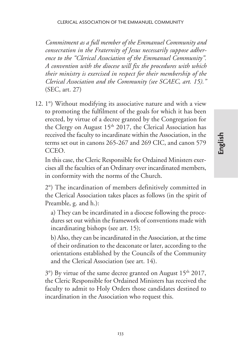*Commitment as a full member of the Emmanuel Community and consecration in the Fraternity of Jesus necessarily suppose adherence to the "Clerical Association of the Emmanuel Community". A convention with the diocese will fix the procedures with which their ministry is exercised in respect for their membership of the Clerical Association and the Community (see SCAEC, art. 15)."* (SEC, art. 27)

12. 1°) Without modifying its associative nature and with a view to promoting the fulfilment of the goals for which it has been erected, by virtue of a decree granted by the Congregation for the Clergy on August  $15<sup>th</sup> 2017$ , the Clerical Association has received the faculty to incardinate within the Association, in the terms set out in canons 265-267 and 269 CIC, and canon 579 CCEO.

In this case, the Cleric Responsible for Ordained Ministers exercises all the faculties of an Ordinary over incardinated members, in conformity with the norms of the Church.

2°) The incardination of members definitively committed in the Clerical Association takes places as follows (in the spirit of Preamble, g. and h.):

a) They can be incardinated in a diocese following the procedures set out within the framework of conventions made with incardinating bishops (see art. 15);

b)Also, they can be incardinated in the Association, at the time of their ordination to the deaconate or later, according to the orientations established by the Councils of the Community and the Clerical Association (see art. 14).

 $3^{\circ}$ ) By virtue of the same decree granted on August  $15^{\text{th}}$  2017, the Cleric Responsible for Ordained Ministers has received the faculty to admit to Holy Orders those candidates destined to incardination in the Association who request this.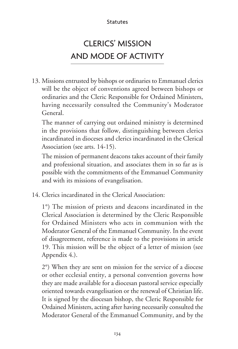# CLERICS' MISSION AND MODE OF ACTIVITY

13. Missions entrusted by bishops or ordinaries to Emmanuel clerics will be the object of conventions agreed between bishops or ordinaries and the Cleric Responsible for Ordained Ministers, having necessarily consulted the Community's Moderator General.

The manner of carrying out ordained ministry is determined in the provisions that follow, distinguishing between clerics incardinated in dioceses and clerics incardinated in the Clerical Association (see arts. 14-15).

The mission of permanent deacons takes account of their family and professional situation, and associates them in so far as is possible with the commitments of the Emmanuel Community and with its missions of evangelisation.

14. Clerics incardinated in the Clerical Association:

1°) The mission of priests and deacons incardinated in the Clerical Association is determined by the Cleric Responsible for Ordained Ministers who acts in communion with the Moderator General of the Emmanuel Community. In the event of disagreement, reference is made to the provisions in article 19. This mission will be the object of a letter of mission (see Appendix 4.).

2°) When they are sent on mission for the service of a diocese or other ecclesial entity, a personal convention governs how they are made available for a diocesan pastoral service especially oriented towards evangelisation or the renewal of Christian life. It is signed by the diocesan bishop, the Cleric Responsible for Ordained Ministers, acting after having necessarily consulted the Moderator General of the Emmanuel Community, and by the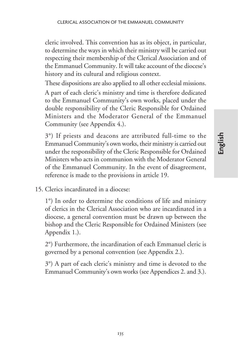cleric involved. This convention has as its object, in particular, to determine the ways in which their ministry will be carried out respecting their membership of the Clerical Association and of the Emmanuel Community. It will take account of the diocese's history and its cultural and religious context.

These dispositions are also applied to all other ecclesial missions.

A part of each cleric's ministry and time is therefore dedicated to the Emmanuel Community's own works, placed under the double responsibility of the Cleric Responsible for Ordained Ministers and the Moderator General of the Emmanuel Community (see Appendix 4.).

3°) If priests and deacons are attributed full-time to the Emmanuel Community's own works, their ministry is carried out under the responsibility of the Cleric Responsible for Ordained Ministers who acts in communion with the Moderator General of the Emmanuel Community. In the event of disagreement, reference is made to the provisions in article 19.

15. Clerics incardinated in a diocese:

1°) In order to determine the conditions of life and ministry of clerics in the Clerical Association who are incardinated in a diocese, a general convention must be drawn up between the bishop and the Cleric Responsible for Ordained Ministers (see Appendix 1.).

2°) Furthermore, the incardination of each Emmanuel cleric is governed by a personal convention (see Appendix 2.).

3°) A part of each cleric's ministry and time is devoted to the Emmanuel Community's own works (see Appendices 2. and 3.).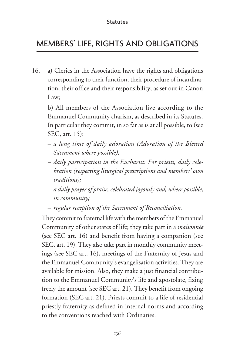### MEMBERS' LIFE, RIGHTS AND OBLIGATIONS

16. a) Clerics in the Association have the rights and obligations corresponding to their function, their procedure of incardination, their office and their responsibility, as set out in Canon Law;

b) All members of the Association live according to the Emmanuel Community charism, as described in its Statutes. In particular they commit, in so far as is at all possible, to (see SEC, art. 15):

- *a long time of daily adoration (Adoration of the Blessed Sacrament where possible);*
- *daily participation in the Eucharist. For priests, daily celebration (respecting liturgical prescriptions and members' own traditions);*
- *a daily prayer of praise, celebrated joyously and, where possible, in community;*
- *regular reception of the Sacrament of Reconciliation.*

They commit to fraternal life with the members of the Emmanuel Community of other states of life; they take part in a *maisonnée* (see SEC art. 16) and benefit from having a companion (see SEC, art. 19). They also take part in monthly community meetings (see SEC art. 16), meetings of the Fraternity of Jesus and the Emmanuel Community's evangelisation activities. They are available for mission. Also, they make a just financial contribution to the Emmanuel Community's life and apostolate, fixing freely the amount (see SEC art. 21). They benefit from ongoing formation (SEC art. 21). Priests commit to a life of residential priestly fraternity as defined in internal norms and according to the conventions reached with Ordinaries.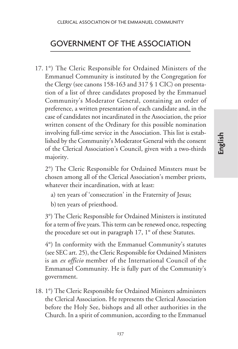### GOVERNMENT OF THE ASSOCIATION

17. 1°) The Cleric Responsible for Ordained Ministers of the Emmanuel Community is instituted by the Congregation for the Clergy (see canons 158-163 and 317 § 1 CIC) on presentation of a list of three candidates proposed by the Emmanuel Community's Moderator General, containing an order of preference, a written presentation of each candidate and, in the case of candidates not incardinated in the Association, the prior written consent of the Ordinary for this possible nomination involving full-time service in the Association. This list is established by the Community's Moderator General with the consent of the Clerical Association's Council, given with a two-thirds majority.

2°) The Cleric Responsible for Ordained Minsters must be chosen among all of the Clerical Association's member priests, whatever their incardination, with at least:

- a) ten years of 'consecration' in the Fraternity of Jesus;
- b) ten years of priesthood.

3°) The Cleric Responsible for Ordained Ministers is instituted for a term of five years. This term can be renewed once, respecting the procedure set out in paragraph 17, 1° of these Statutes.

4°) In conformity with the Emmanuel Community's statutes (see SEC art. 25), the Cleric Responsible for Ordained Ministers is an *ex officio* member of the International Council of the Emmanuel Community. He is fully part of the Community's government.

18. 1°) The Cleric Responsible for Ordained Ministers administers the Clerical Association. He represents the Clerical Association before the Holy See, bishops and all other authorities in the Church. In a spirit of communion, according to the Emmanuel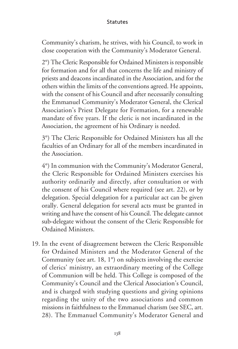Community's charism, he strives, with his Council, to work in close cooperation with the Community's Moderator General.

2°) The Cleric Responsible for Ordained Ministers is responsible for formation and for all that concerns the life and ministry of priests and deacons incardinated in the Association, and for the others within the limits of the conventions agreed. He appoints, with the consent of his Council and after necessarily consulting the Emmanuel Community's Moderator General, the Clerical Association's Priest Delegate for Formation, for a renewable mandate of five years. If the cleric is not incardinated in the Association, the agreement of his Ordinary is needed.

3°) The Cleric Responsible for Ordained Ministers has all the faculties of an Ordinary for all of the members incardinated in the Association.

4°) In communion with the Community's Moderator General, the Cleric Responsible for Ordained Ministers exercises his authority ordinarily and directly, after consultation or with the consent of his Council where required (see art. 22), or by delegation. Special delegation for a particular act can be given orally. General delegation for several acts must be granted in writing and have the consent of his Council. The delegate cannot sub-delegate without the consent of the Cleric Responsible for Ordained Ministers.

19. In the event of disagreement between the Cleric Responsible for Ordained Ministers and the Moderator General of the Community (see art. 18, 1°) on subjects involving the exercise of clerics' ministry, an extraordinary meeting of the College of Communion will be held. This College is composed of the Community's Council and the Clerical Association's Council, and is charged with studying questions and giving opinions regarding the unity of the two associations and common missions in faithfulness to the Emmanuel charism (see SEC, art. 28). The Emmanuel Community's Moderator General and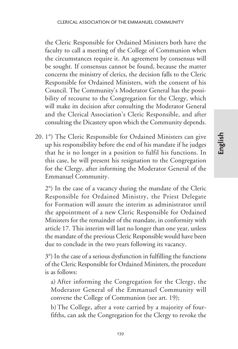the Cleric Responsible for Ordained Ministers both have the faculty to call a meeting of the College of Communion when the circumstances require it. An agreement by consensus will be sought. If consensus cannot be found, because the matter concerns the ministry of clerics, the decision falls to the Cleric Responsible for Ordained Ministers, with the consent of his Council. The Community's Moderator General has the possibility of recourse to the Congregation for the Clergy, which will make its decision after consulting the Moderator General and the Clerical Association's Cleric Responsible, and after consulting the Dicastery upon which the Community depends.

20. 1°) The Cleric Responsible for Ordained Ministers can give up his responsibility before the end of his mandate if he judges that he is no longer in a position to fulfil his functions. In this case, he will present his resignation to the Congregation for the Clergy, after informing the Moderator General of the Emmanuel Community.

2°) In the case of a vacancy during the mandate of the Cleric Responsible for Ordained Ministry, the Priest Delegate for Formation will assure the interim as administrator until the appointment of a new Cleric Responsible for Ordained Ministers for the remainder of the mandate, in conformity with article 17. This interim will last no longer than one year, unless the mandate of the previous Cleric Responsible would have been due to conclude in the two years following its vacancy.

3°) In the case of a serious dysfunction in fulfilling the functions of the Cleric Responsible for Ordained Ministers, the procedure is as follows:

a) After informing the Congregation for the Clergy, the Moderator General of the Emmanuel Community will convene the College of Communion (see art. 19);

b)The College, after a vote carried by a majority of fourfifths, can ask the Congregation for the Clergy to revoke the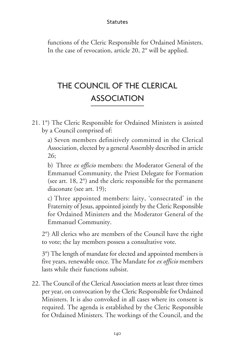functions of the Cleric Responsible for Ordained Ministers. In the case of revocation, article 20, 2° will be applied.

# THE COUNCIL OF THE CLERICAL ASSOCIATION

21. 1°) The Cleric Responsible for Ordained Ministers is assisted by a Council comprised of:

a) Seven members definitively committed in the Clerical Association, elected by a general Assembly described in article 26;

b) Three *ex officio* members: the Moderator General of the Emmanuel Community, the Priest Delegate for Formation (see art. 18, 2°) and the cleric responsible for the permanent diaconate (see art. 19);

c) Three appointed members: laity, 'consecrated' in the Fraternity of Jesus, appointed jointly by the Cleric Responsible for Ordained Ministers and the Moderator General of the Emmanuel Community.

2°) All clerics who are members of the Council have the right to vote; the lay members possess a consultative vote.

3°) The length of mandate for elected and appointed members is five years, renewable once. The Mandate for *ex officio* members lasts while their functions subsist.

22. The Council of the Clerical Association meets at least three times per year, on convocation by the Cleric Responsible for Ordained Ministers. It is also convoked in all cases where its consent is required. The agenda is established by the Cleric Responsible for Ordained Ministers. The workings of the Council, and the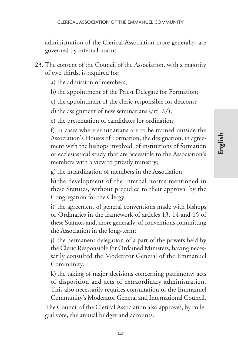administration of the Clerical Association more generally, are governed by internal norms.

- 23. The consent of the Council of the Association, with a majority of two thirds, is required for:
	- a) the admission of members;
	- b) the appointment of the Priest Delegate for Formation;
	- c) the appointment of the cleric responsible for deacons;
	- d) the assignment of new seminarians (art.  $27$ );

e) the presentation of candidates for ordination;

f) in cases where seminarians are to be trained outside the Association's Houses of Formation, the designation, in agreement with the bishops involved, of institutions of formation or ecclesiastical study that are accessible to the Association's members with a view to priestly ministry;

g) the incardination of members in the Association;

h) the development of the internal norms mentioned in these Statutes, without prejudice to their approval by the Congregation for the Clergy;

i) the agreement of general conventions made with bishops or Ordinaries in the framework of articles 13, 14 and 15 of these Statutes and, more generally, of conventions committing the Association in the long-term;

j) the permanent delegation of a part of the powers held by the Cleric Responsible for Ordained Ministers, having necessarily consulted the Moderator General of the Emmanuel Community;

k) the taking of major decisions concerning patrimony: acts of disposition and acts of extraordinary administration. This also necessarily requires consultation of the Emmanuel

Community's Moderator General and International Council. The Council of the Clerical Association also approves, by collegial vote, the annual budget and accounts.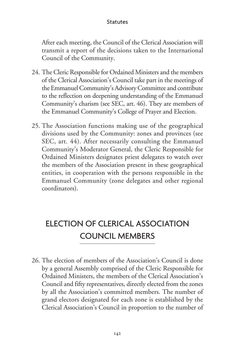After each meeting, the Council of the Clerical Association will transmit a report of the decisions taken to the International Council of the Community.

- 24. The Cleric Responsible for Ordained Ministers and the members of the Clerical Association's Council take part in the meetings of the Emmanuel Community's Advisory Committee and contribute to the reflection on deepening understanding of the Emmanuel Community's charism (see SEC, art. 46). They are members of the Emmanuel Community's College of Prayer and Election.
- 25. The Association functions making use of the geographical divisions used by the Community: zones and provinces (see SEC, art. 44). After necessarily consulting the Emmanuel Community's Moderator General, the Cleric Responsible for Ordained Ministers designates priest delegates to watch over the members of the Association present in these geographical entities, in cooperation with the persons responsible in the Emmanuel Community (zone delegates and other regional coordinators).

# ELECTION OF CLERICAL ASSOCIATION COUNCIL MEMBERS

26. The election of members of the Association's Council is done by a general Assembly comprised of the Cleric Responsible for Ordained Ministers, the members of the Clerical Association's Council and fifty representatives, directly elected from the zones by all the Association's committed members. The number of grand electors designated for each zone is established by the Clerical Association's Council in proportion to the number of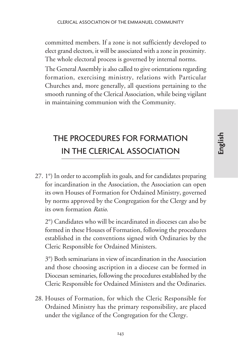committed members. If a zone is not sufficiently developed to elect grand electors, it will be associated with a zone in proximity. The whole electoral process is governed by internal norms.

The General Assembly is also called to give orientations regarding formation, exercising ministry, relations with Particular Churches and, more generally, all questions pertaining to the smooth running of the Clerical Association, while being vigilant in maintaining communion with the Community.

# THE PROCEDURES FOR FORMATION IN THE CLERICAL ASSOCIATION

27. 1°) In order to accomplish its goals, and for candidates preparing for incardination in the Association, the Association can open its own Houses of Formation for Ordained Ministry, governed by norms approved by the Congregation for the Clergy and by its own formation *Ratio*.

2°) Candidates who will be incardinated in dioceses can also be formed in these Houses of Formation, following the procedures established in the conventions signed with Ordinaries by the Cleric Responsible for Ordained Ministers.

3°) Both seminarians in view of incardination in the Association and those choosing ascription in a diocese can be formed in Diocesan seminaries, following the procedures established by the Cleric Responsible for Ordained Ministers and the Ordinaries.

28. Houses of Formation, for which the Cleric Responsible for Ordained Ministry has the primary responsibility, are placed under the vigilance of the Congregation for the Clergy.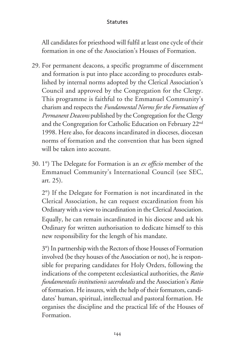All candidates for priesthood will fulfil at least one cycle of their formation in one of the Association's Houses of Formation.

- 29. For permanent deacons, a specific programme of discernment and formation is put into place according to procedures established by internal norms adopted by the Clerical Association's Council and approved by the Congregation for the Clergy. This programme is faithful to the Emmanuel Community's charism and respects the *Fundamental Norms for the Formation of Permanent Deacons* published by the Congregation for the Clergy and the Congregation for Catholic Education on February 22nd 1998. Here also, for deacons incardinated in dioceses, diocesan norms of formation and the convention that has been signed will be taken into account.
- 30. 1°) The Delegate for Formation is an *ex officio* member of the Emmanuel Community's International Council (see SEC, art. 25).

2°) If the Delegate for Formation is not incardinated in the Clerical Association, he can request excardination from his Ordinary with a view to incardination in the Clerical Association. Equally, he can remain incardinated in his diocese and ask his Ordinary for written authorisation to dedicate himself to this new responsibility for the length of his mandate.

3°) In partnership with the Rectors of those Houses of Formation involved (be they houses of the Association or not), he is responsible for preparing candidates for Holy Orders, following the indications of the competent ecclesiastical authorities, the *Ratio fundamentalis institutionis sacerdotalis* and the Association's *Ratio* of formation. He insures, with the help of their formators, candidates' human, spiritual, intellectual and pastoral formation. He organises the discipline and the practical life of the Houses of Formation.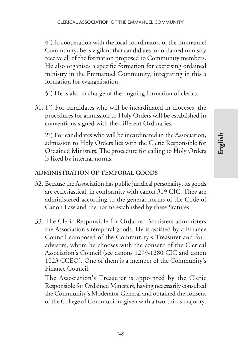4°) In cooperation with the local coordinators of the Emmanuel Community, he is vigilant that candidates for ordained ministry receive all of the formation proposed to Community members. He also organises a specific formation for exercising ordained ministry in the Emmanuel Community, integrating in this a formation for evangelisation.

5°) He is also in charge of the ongoing formation of clerics.

31. 1°) For candidates who will be incardinated in dioceses, the procedures for admission to Holy Orders will be established in conventions signed with the different Ordinaries.

2°) For candidates who will be incardinated in the Association, admission to Holy Orders lies with the Cleric Responsible for Ordained Ministers. The procedure for calling to Holy Orders is fixed by internal norms.

#### **ADMINISTRATION OF TEMPORAL GOODS**

- 32. Because the Association has public juridical personality, its goods are ecclesiastical, in conformity with canon 319 CIC. They are administered according to the general norms of the Code of Canon Law and the norms established by these Statutes.
- 33. The Cleric Responsible for Ordained Ministers administers the Association's temporal goods. He is assisted by a Finance Council composed of the Community's Treasurer and four advisors, whom he chooses with the consent of the Clerical Association's Council (see canons 1279-1280 CIC and canon 1023 CCEO). One of them is a member of the Community's Finance Council.

The Association's Treasurer is appointed by the Cleric Responsible for Ordained Ministers, having necessarily consulted the Community's Moderator General and obtained the consent of the College of Communion, given with a two-thirds majority.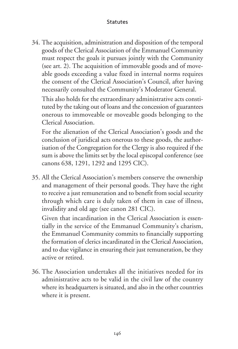34. The acquisition, administration and disposition of the temporal goods of the Clerical Association of the Emmanuel Community must respect the goals it pursues jointly with the Community (see art. 2). The acquisition of immovable goods and of moveable goods exceeding a value fixed in internal norms requires the consent of the Clerical Association's Council, after having necessarily consulted the Community's Moderator General.

This also holds for the extraordinary administrative acts constituted by the taking out of loans and the concession of guarantees onerous to immoveable or moveable goods belonging to the Clerical Association.

For the alienation of the Clerical Association's goods and the conclusion of juridical acts onerous to these goods, the authorisation of the Congregation for the Clergy is also required if the sum is above the limits set by the local episcopal conference (see canons 638, 1291, 1292 and 1295 CIC).

35. All the Clerical Association's members conserve the ownership and management of their personal goods. They have the right to receive a just remuneration and to benefit from social security through which care is duly taken of them in case of illness, invalidity and old age (see canon 281 CIC).

Given that incardination in the Clerical Association is essentially in the service of the Emmanuel Community's charism, the Emmanuel Community commits to financially supporting the formation of clerics incardinated in the Clerical Association, and to due vigilance in ensuring their just remuneration, be they active or retired.

36. The Association undertakes all the initiatives needed for its administrative acts to be valid in the civil law of the country where its headquarters is situated, and also in the other countries where it is present.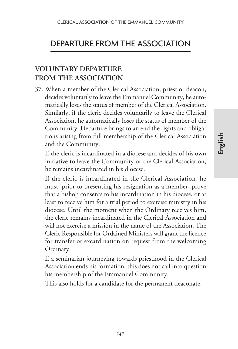### DEPARTURE FROM THE ASSOCIATION

### **VOLUNTARY DEPARTURE FROM THE ASSOCIATION**

37. When a member of the Clerical Association, priest or deacon, decides voluntarily to leave the Emmanuel Community, he automatically loses the status of member of the Clerical Association. Similarly, if the cleric decides voluntarily to leave the Clerical Association, he automatically loses the status of member of the Community. Departure brings to an end the rights and obligations arising from full membership of the Clerical Association and the Community.

If the cleric is incardinated in a diocese and decides of his own initiative to leave the Community or the Clerical Association, he remains incardinated in his diocese.

If the cleric is incardinated in the Clerical Association, he must, prior to presenting his resignation as a member, prove that a bishop consents to his incardination in his diocese, or at least to receive him for a trial period to exercise ministry in his diocese. Until the moment when the Ordinary receives him, the cleric remains incardinated in the Clerical Association and will not exercise a mission in the name of the Association. The Cleric Responsible for Ordained Ministers will grant the licence for transfer or excardination on request from the welcoming Ordinary.

If a seminarian journeying towards priesthood in the Clerical Association ends his formation, this does not call into question his membership of the Emmanuel Community.

This also holds for a candidate for the permanent deaconate.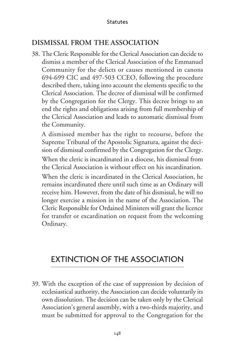### **DISMISSAL FROM THE ASSOCIATION**

38. The Cleric Responsible for the Clerical Association can decide to dismiss a member of the Clerical Association of the Emmanuel Community for the delicts or causes mentioned in canons 694-699 CIC and 497-503 CCEO, following the procedure described there, taking into account the elements specific to the Clerical Association. The decree of dismissal will be confirmed by the Congregation for the Clergy. This decree brings to an end the rights and obligations arising from full membership of the Clerical Association and leads to automatic dismissal from the Community.

A dismissed member has the right to recourse, before the Supreme Tribunal of the Apostolic Signatura, against the decision of dismissal confirmed by the Congregation for the Clergy.

When the cleric is incardinated in a diocese, his dismissal from the Clerical Association is without effect on his incardination.

When the cleric is incardinated in the Clerical Association, he remains incardinated there until such time as an Ordinary will receive him. However, from the date of his dismissal, he will no longer exercise a mission in the name of the Association. The Cleric Responsible for Ordained Ministers will grant the licence for transfer or excardination on request from the welcoming Ordinary.

# EXTINCTION OF THE ASSOCIATION

39. With the exception of the case of suppression by decision of ecclesiastical authority, the Association can decide voluntarily its own dissolution. The decision can be taken only by the Clerical Association's general assembly, with a two-thirds majority, and must be submitted for approval to the Congregation for the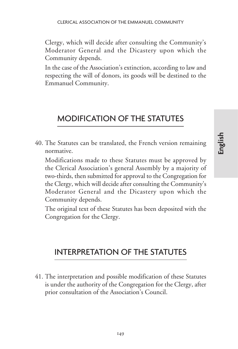Clergy, which will decide after consulting the Community's Moderator General and the Dicastery upon which the Community depends.

In the case of the Association's extinction, according to law and respecting the will of donors, its goods will be destined to the Emmanuel Community.

# MODIFICATION OF THE STATUTES

40. The Statutes can be translated, the French version remaining normative.

Modifications made to these Statutes must be approved by the Clerical Association's general Assembly by a majority of two-thirds, then submitted for approval to the Congregation for the Clergy, which will decide after consulting the Community's Moderator General and the Dicastery upon which the Community depends.

The original text of these Statutes has been deposited with the Congregation for the Clergy.

### INTERPRETATION OF THE STATUTES

41. The interpretation and possible modification of these Statutes is under the authority of the Congregation for the Clergy, after prior consultation of the Association's Council.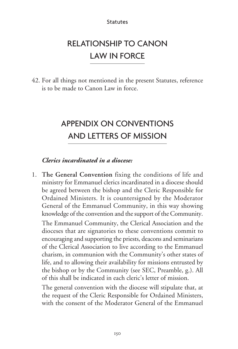# RELATIONSHIP TO CANON LAW IN FORCE

42. For all things not mentioned in the present Statutes, reference is to be made to Canon Law in force.

# APPENDIX ON CONVENTIONS AND LETTERS OF MISSION

#### *Clerics incardinated in a diocese:*

1. **The General Convention** fixing the conditions of life and ministry for Emmanuel clerics incardinated in a diocese should be agreed between the bishop and the Cleric Responsible for Ordained Ministers. It is countersigned by the Moderator General of the Emmanuel Community, in this way showing knowledge of the convention and the support of the Community. The Emmanuel Community, the Clerical Association and the dioceses that are signatories to these conventions commit to encouraging and supporting the priests, deacons and seminarians of the Clerical Association to live according to the Emmanuel charism, in communion with the Community's other states of life, and to allowing their availability for missions entrusted by the bishop or by the Community (see SEC, Preamble, g.). All of this shall be indicated in each cleric's letter of mission.

The general convention with the diocese will stipulate that, at the request of the Cleric Responsible for Ordained Ministers, with the consent of the Moderator General of the Emmanuel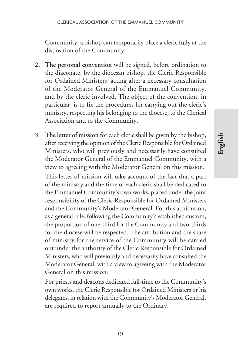Community, a bishop can temporarily place a cleric fully at the disposition of the Community.

- **2. The personal convention** will be signed, before ordination to the diaconate, by the diocesan bishop, the Cleric Responsible for Ordained Ministers, acting after a necessary consultation of the Moderator General of the Emmanuel Community, and by the cleric involved. The object of the convention, in particular, is to fix the procedures for carrying out the cleric's ministry, respecting his belonging to the diocese, to the Clerical Association and to the Community.
- 3. **The letter of mission** for each cleric shall be given by the bishop, after receiving the opinion of the Cleric Responsible for Ordained Ministers, who will previously and necessarily have consulted the Moderator General of the Emmanuel Community, with a view to agreeing with the Moderator General on this mission.

This letter of mission will take account of the fact that a part of the ministry and the time of each cleric shall be dedicated to the Emmanuel Community's own works, placed under the joint responsibility of the Cleric Responsible for Ordained Ministers and the Community's Moderator General. For this attribution, as a general rule, following the Community's established custom, the proportion of one-third for the Community and two-thirds for the diocese will be respected. The attribution and the share of ministry for the service of the Community will be carried out under the authority of the Cleric Responsible for Ordained Ministers, who will previously and necessarily have consulted the Moderator General, with a view to agreeing with the Moderator General on this mission.

For priests and deacons dedicated full-time to the Community's own works, the Cleric Responsible for Ordained Ministers or his delegates, in relation with the Community's Moderator General, are required to report annually to the Ordinary.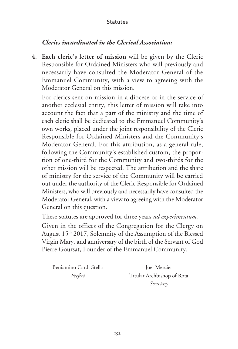#### *Clerics incardinated in the Clerical Association:*

**4. Each cleric's letter of mission** will be given by the Cleric Responsible for Ordained Ministers who will previously and necessarily have consulted the Moderator General of the Emmanuel Community, with a view to agreeing with the Moderator General on this mission.

For clerics sent on mission in a diocese or in the service of another ecclesial entity, this letter of mission will take into account the fact that a part of the ministry and the time of each cleric shall be dedicated to the Emmanuel Community's own works, placed under the joint responsibility of the Cleric Responsible for Ordained Ministers and the Community's Moderator General. For this attribution, as a general rule, following the Community's established custom, the proportion of one-third for the Community and two-thirds for the other mission will be respected. The attribution and the share of ministry for the service of the Community will be carried out under the authority of the Cleric Responsible for Ordained Ministers, who will previously and necessarily have consulted the Moderator General, with a view to agreeing with the Moderator General on this question.

These statutes are approved for three years *ad experimentum*.

Given in the offices of the Congregation for the Clergy on August 15<sup>th</sup> 2017, Solemnity of the Assumption of the Blessed Virgin Mary, and anniversary of the birth of the Servant of God Pierre Goursat, Founder of the Emmanuel Community.

Beniamino Card. Stella *Joël Mercier* 

*Prefect* Titular Archbishop of Rota *Secretary*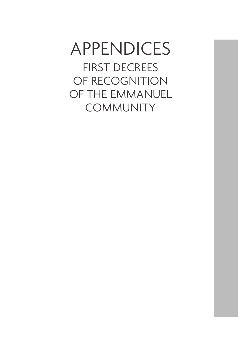# APPENDICES FIRST DECREES OF RECOGNITION

OF THE EMMANUEL **COMMUNITY**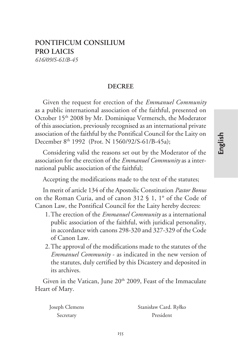## **PONTIFICUM CONSILIUM PRO LAICIS** *616/09/S-61/B-45*

### **DECREE**

Given the request for erection of the *Emmanuel Community* as a public international association of the faithful, presented on October 15<sup>th</sup> 2008 by Mr. Dominique Vermersch, the Moderator of this association, previously recognised as an international private association of the faithful by the Pontifical Council for the Laity on December 8th 1992 (Prot. N 1560/92/S-61/B-45a);

Considering valid the reasons set out by the Moderator of the association for the erection of the *Emmanuel Community* as a international public association of the faithful;

Accepting the modifications made to the text of the statutes;

In merit of article 134 of the Apostolic Constitution *Pastor Bonus* on the Roman Curia, and of canon 312 § 1, 1° of the Code of Canon Law, the Pontifical Council for the Laity hereby decrees:

- 1.The erection of the *Emmanuel Community* as a international public association of the faithful, with juridical personality, in accordance with canons 298-320 and 327-329 of the Code of Canon Law.
- 2.The approval of the modifications made to the statutes of the *Emmanuel Community* - as indicated in the new version of the statutes, duly certified by this Dicastery and deposited in its archives.

Given in the Vatican, June 20<sup>th</sup> 2009, Feast of the Immaculate Heart of Mary.

| Joseph Clemens | Stanisław Card. Ryłko |
|----------------|-----------------------|
| Secretary      | President             |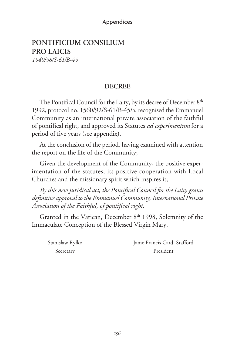#### Appendices

# **PONTIFICIUM CONSILIUM PRO LAICIS**

*1940/98/S-61/B-45*

#### **DECREE**

The Pontifical Council for the Laity, by its decree of December 8<sup>th</sup> 1992, protocol no. 1560/92/S-61/B-45/a, recognised the Emmanuel Community as an international private association of the faithful of pontifical right, and approved its Statutes *ad experimentum* for a period of five years (see appendix).

At the conclusion of the period, having examined with attention the report on the life of the Community;

Given the development of the Community, the positive experimentation of the statutes, its positive cooperation with Local Churches and the missionary spirit which inspires it;

*By this new juridical act, the Pontifical Council for the Laity grants definitive approval to the Emmanuel Community, International Private Association of the Faithful, of pontifical right.*

Granted in the Vatican, December 8<sup>th</sup> 1998, Solemnity of the Immaculate Conception of the Blessed Virgin Mary.

Stanisław Ryłko Jame Francis Card. Stafford Secretary President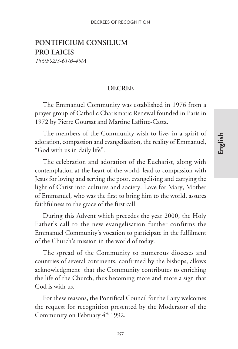## **PONTIFICIUM CONSILIUM PRO LAICIS**

*1560/92/S-61/B-45/A*

#### **DECREE**

The Emmanuel Community was established in 1976 from a prayer group of Catholic Charismatic Renewal founded in Paris in 1972 by Pierre Goursat and Martine Laffitte-Catta.

The members of the Community wish to live, in a spirit of adoration, compassion and evangelisation, the reality of Emmanuel, "God with us in daily life".

The celebration and adoration of the Eucharist, along with contemplation at the heart of the world, lead to compassion with Jesus for loving and serving the poor, evangelising and carrying the light of Christ into cultures and society. Love for Mary, Mother of Emmanuel, who was the first to bring him to the world, assures faithfulness to the grace of the first call.

During this Advent which precedes the year 2000, the Holy Father's call to the new evangelisation further confirms the Emmanuel Community's vocation to participate in the fulfilment of the Church's mission in the world of today.

The spread of the Community to numerous dioceses and countries of several continents, confirmed by the bishops, allows acknowledgment that the Community contributes to enriching the life of the Church, thus becoming more and more a sign that God is with us.

For these reasons, the Pontifical Council for the Laity welcomes the request for recognition presented by the Moderator of the Community on February 4<sup>th</sup> 1992.